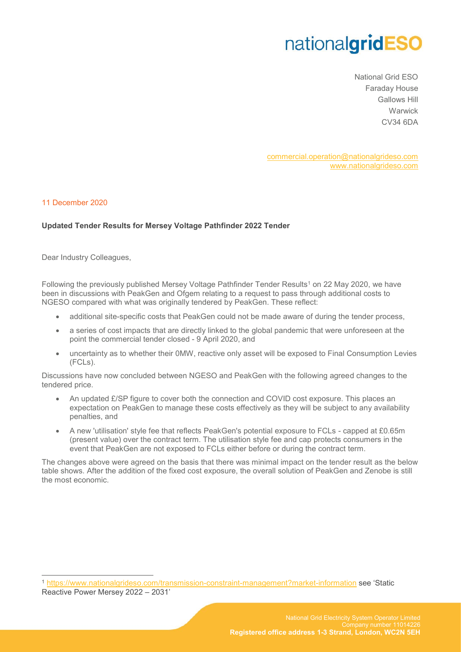## nationalgridESO

National Grid ESO Faraday House Gallows Hill **Warwick** CV34 6DA

[commercial.operation@nationalgrideso.com](mailto:commercial.operation@nationalgrideso.com) [www.nationalgrideso.com](http://www.nationalgrideso.com/)

#### 11 December 2020

 $\overline{a}$ 

#### **Updated Tender Results for Mersey Voltage Pathfinder 2022 Tender**

Dear Industry Colleagues,

Following the previously published Mersey Voltage Pathfinder Tender Results<sup>1</sup> on 22 May 2020, we have been in discussions with PeakGen and Ofgem relating to a request to pass through additional costs to NGESO compared with what was originally tendered by PeakGen. These reflect:

- additional site-specific costs that PeakGen could not be made aware of during the tender process,
- a series of cost impacts that are directly linked to the global pandemic that were unforeseen at the point the commercial tender closed - 9 April 2020, and
- uncertainty as to whether their 0MW, reactive only asset will be exposed to Final Consumption Levies (FCLs).

Discussions have now concluded between NGESO and PeakGen with the following agreed changes to the tendered price.

- An updated £/SP figure to cover both the connection and COVID cost exposure. This places an expectation on PeakGen to manage these costs effectively as they will be subject to any availability penalties, and
- A new 'utilisation' style fee that reflects PeakGen's potential exposure to FCLs capped at £0.65m (present value) over the contract term. The utilisation style fee and cap protects consumers in the event that PeakGen are not exposed to FCLs either before or during the contract term.

The changes above were agreed on the basis that there was minimal impact on the tender result as the below table shows. After the addition of the fixed cost exposure, the overall solution of PeakGen and Zenobe is still the most economic.

<sup>1</sup> <https://www.nationalgrideso.com/transmission-constraint-management?market-information> see 'Static Reactive Power Mersey 2022 – 2031'